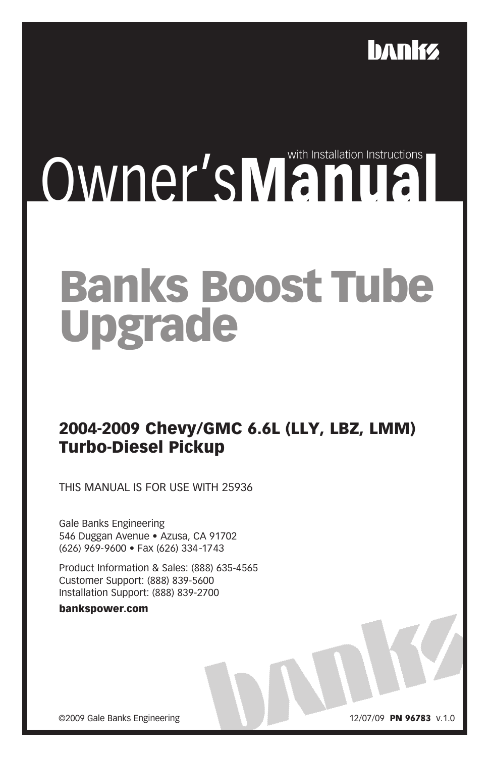

## Owner'sManual Instructions

## Banks Boost Tube Upgrade

## 2004-2009 Chevy/GMC 6.6L (LLY, LBZ, LMM) Turbo-Diesel Pickup

THIS MANUAL IS FOR USE WITH 25936

Gale Banks Engineering 546 Duggan Avenue · Azusa, CA 91702 (626) 969-9600 • Fax (626) 334-1743

Product Information & Sales: (888) 635-4565 Customer Support: (888) 839-5600 Installation Support: (888) 839-2700

bankspower.com

©2009 Gale Banks Engineering 12/07/09 PN 96783 v.1.0